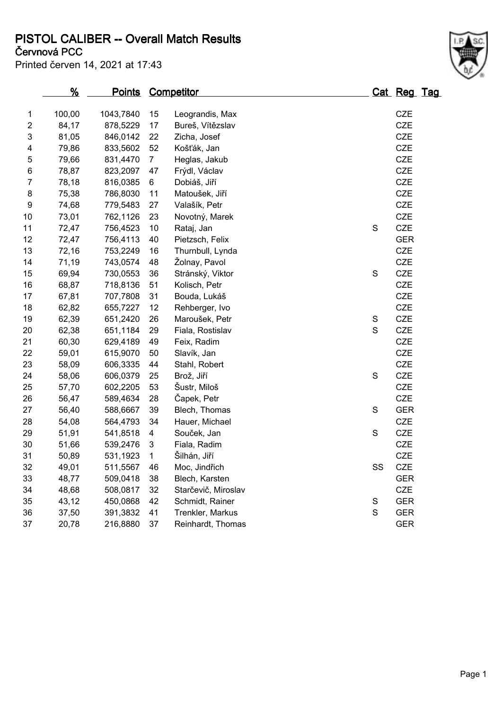**PISTOL CALIBER -- Overall Match Results**

Printed červen 14, 2021 at 17:43

## **Červnová PCC**

|                | <u>%</u> | <u>Points</u> |                | Competitor          |               |    | Cat Reg Tag |  |
|----------------|----------|---------------|----------------|---------------------|---------------|----|-------------|--|
| 1              | 100,00   | 1043,7840     | 15             | Leograndis, Max     |               |    | <b>CZE</b>  |  |
| $\overline{2}$ | 84,17    | 878,5229      | 17             | Bureš, Vítězslav    |               |    | <b>CZE</b>  |  |
| 3              | 81,05    | 846,0142      | 22             | Zicha, Josef        |               |    | <b>CZE</b>  |  |
| 4              | 79,86    | 833,5602      | 52             | Košťák, Jan         |               |    | <b>CZE</b>  |  |
| 5              | 79,66    | 831,4470      | $\overline{7}$ | Heglas, Jakub       |               |    | <b>CZE</b>  |  |
| 6              | 78,87    | 823,2097      | 47             | Frýdl, Václav       |               |    | CZE         |  |
| $\overline{7}$ | 78,18    | 816,0385      | 6              | Dobiáš, Jiří        |               |    | <b>CZE</b>  |  |
| 8              | 75,38    | 786,8030      | 11             | Matoušek, Jiří      |               |    | <b>CZE</b>  |  |
| 9              | 74,68    | 779,5483      | 27             | Valašík, Petr       |               |    | <b>CZE</b>  |  |
| 10             | 73,01    | 762,1126      | 23             | Novotný, Marek      |               |    | CZE         |  |
| 11             | 72,47    | 756,4523      | 10             | Rataj, Jan          | $\mathbf S$   |    | <b>CZE</b>  |  |
| 12             | 72,47    | 756,4113      | 40             | Pietzsch, Felix     |               |    | <b>GER</b>  |  |
| 13             | 72,16    | 753,2249      | 16             | Thurnbull, Lynda    |               |    | CZE         |  |
| 14             | 71,19    | 743,0574      | 48             | Žolnay, Pavol       |               |    | <b>CZE</b>  |  |
| 15             | 69,94    | 730,0553      | 36             | Stránský, Viktor    | $\mathbf S$   |    | <b>CZE</b>  |  |
| 16             | 68,87    | 718,8136      | 51             | Kolisch, Petr       |               |    | <b>CZE</b>  |  |
| 17             | 67,81    | 707,7808      | 31             | Bouda, Lukáš        |               |    | CZE         |  |
| 18             | 62,82    | 655,7227      | 12             | Rehberger, Ivo      |               |    | CZE         |  |
| 19             | 62,39    | 651,2420      | 26             | Maroušek, Petr      | ${\mathsf S}$ |    | <b>CZE</b>  |  |
| 20             | 62,38    | 651,1184      | 29             | Fiala, Rostislav    | $\mathbf S$   |    | <b>CZE</b>  |  |
| 21             | 60,30    | 629,4189      | 49             | Feix, Radim         |               |    | CZE         |  |
| 22             | 59,01    | 615,9070      | 50             | Slavík, Jan         |               |    | CZE         |  |
| 23             | 58,09    | 606,3335      | 44             | Stahl, Robert       |               |    | <b>CZE</b>  |  |
| 24             | 58,06    | 606,0379      | 25             | Brož, Jiří          | $\mathbf S$   |    | <b>CZE</b>  |  |
| 25             | 57,70    | 602,2205      | 53             | Šustr, Miloš        |               |    | CZE         |  |
| 26             | 56,47    | 589,4634      | 28             | Čapek, Petr         |               |    | CZE         |  |
| 27             | 56,40    | 588,6667      | 39             | Blech, Thomas       | $\mathbf S$   |    | <b>GER</b>  |  |
| 28             | 54,08    | 564,4793      | 34             | Hauer, Michael      |               |    | <b>CZE</b>  |  |
| 29             | 51,91    | 541,8518      | 4              | Souček, Jan         | $\mathbf S$   |    | <b>CZE</b>  |  |
| 30             | 51,66    | 539,2476      | 3              | Fiala, Radim        |               |    | <b>CZE</b>  |  |
| 31             | 50,89    | 531,1923      | $\mathbf{1}$   | Šilhán, Jiří        |               |    | <b>CZE</b>  |  |
| 32             | 49,01    | 511,5567      | 46             | Moc, Jindřich       |               | SS | <b>CZE</b>  |  |
| 33             | 48,77    | 509,0418      | 38             | Blech, Karsten      |               |    | <b>GER</b>  |  |
| 34             | 48,68    | 508,0817      | 32             | Starčevič, Miroslav |               |    | <b>CZE</b>  |  |
| 35             | 43,12    | 450,0868      | 42             | Schmidt, Rainer     | S             |    | <b>GER</b>  |  |
| 36             | 37,50    | 391,3832      | 41             | Trenkler, Markus    | S             |    | <b>GER</b>  |  |
| 37             | 20,78    | 216,8880      | 37             | Reinhardt, Thomas   |               |    | <b>GER</b>  |  |